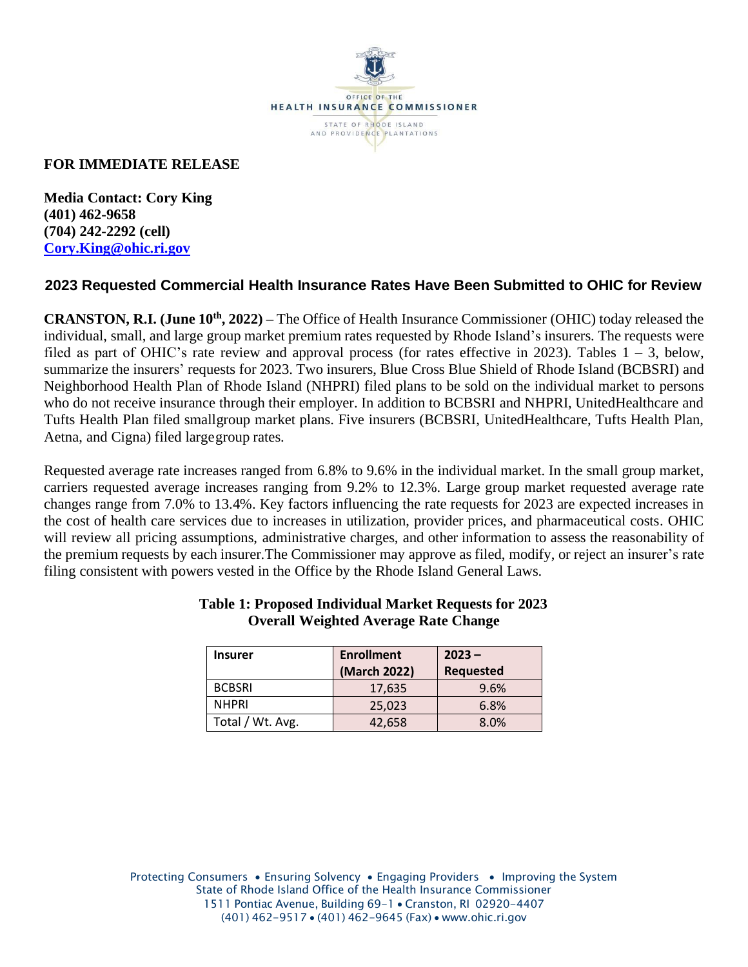

## **FOR IMMEDIATE RELEASE**

**Media Contact: Cory King (401) 462-9658 (704) 242-2292 (cell) [Cory.King@ohic.ri.gov](mailto:Cory.King@ohic.ri.gov)**

# **2023 Requested Commercial Health Insurance Rates Have Been Submitted to OHIC for Review**

**CRANSTON, R.I. (June 10th , 2022) –** The Office of Health Insurance Commissioner (OHIC) today released the individual, small, and large group market premium rates requested by Rhode Island's insurers. The requests were filed as part of OHIC's rate review and approval process (for rates effective in 2023). Tables  $1 - 3$ , below, summarize the insurers' requests for 2023. Two insurers, Blue Cross Blue Shield of Rhode Island (BCBSRI) and Neighborhood Health Plan of Rhode Island (NHPRI) filed plans to be sold on the individual market to persons who do not receive insurance through their employer. In addition to BCBSRI and NHPRI, UnitedHealthcare and Tufts Health Plan filed smallgroup market plans. Five insurers (BCBSRI, UnitedHealthcare, Tufts Health Plan, Aetna, and Cigna) filed large group rates.

Requested average rate increases ranged from 6.8% to 9.6% in the individual market. In the small group market, carriers requested average increases ranging from 9.2% to 12.3%. Large group market requested average rate changes range from 7.0% to 13.4%. Key factors influencing the rate requests for 2023 are expected increases in the cost of health care services due to increases in utilization, provider prices, and pharmaceutical costs. OHIC will review all pricing assumptions, administrative charges, and other information to assess the reasonability of the premium requests by each insurer.The Commissioner may approve as filed, modify, or reject an insurer's rate filing consistent with powers vested in the Office by the Rhode Island General Laws.

| <b>Insurer</b>   | <b>Enrollment</b><br>(March 2022) | $2023 -$<br><b>Requested</b> |
|------------------|-----------------------------------|------------------------------|
| <b>BCBSRI</b>    | 17,635                            | 9.6%                         |
| <b>NHPRI</b>     | 25,023                            | 6.8%                         |
| Total / Wt. Avg. | 42,658                            | 8.0%                         |

#### **Table 1: Proposed Individual Market Requests for 2023 Overall Weighted Average Rate Change**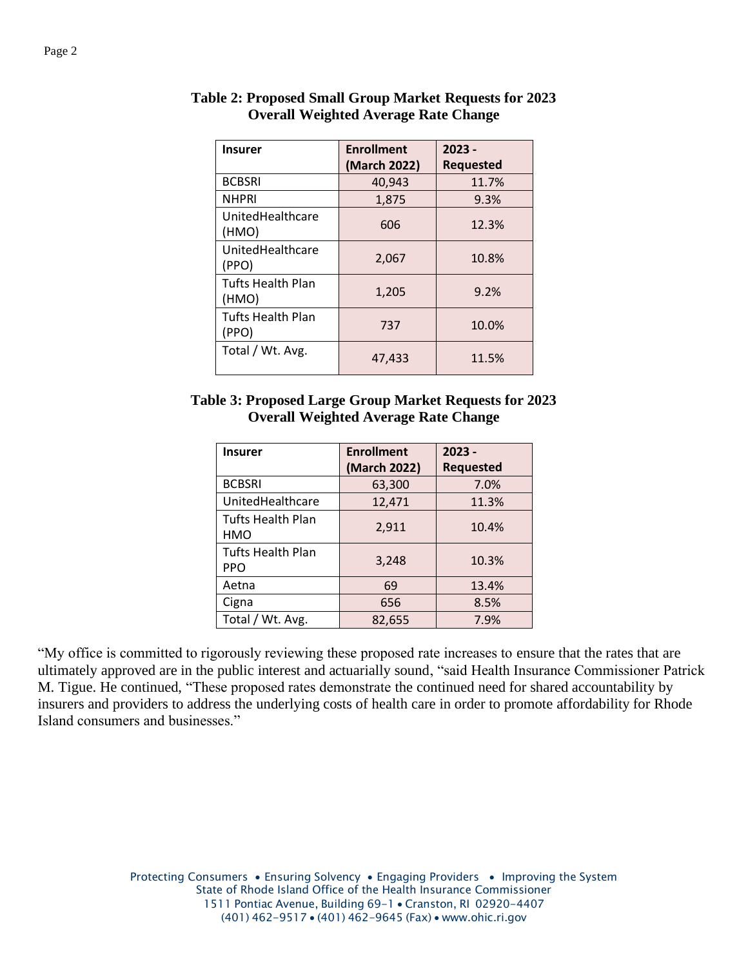| <b>Insurer</b>                    | <b>Enrollment</b> | $2023 -$         |
|-----------------------------------|-------------------|------------------|
|                                   | (March 2022)      | <b>Requested</b> |
| <b>BCBSRI</b>                     | 40,943            | 11.7%            |
| <b>NHPRI</b>                      | 1,875             | 9.3%             |
| UnitedHealthcare<br>(HMO)         | 606               | 12.3%            |
| UnitedHealthcare<br>(PPO)         | 2,067             | 10.8%            |
| <b>Tufts Health Plan</b><br>(HMO) | 1,205             | 9.2%             |
| Tufts Health Plan<br>(PPO)        | 737               | 10.0%            |
| Total / Wt. Avg.                  | 47,433            | 11.5%            |

## **Table 2: Proposed Small Group Market Requests for 2023 Overall Weighted Average Rate Change**

### **Table 3: Proposed Large Group Market Requests for 2023 Overall Weighted Average Rate Change**

| <b>Insurer</b>                         | <b>Enrollment</b> | $2023 -$         |
|----------------------------------------|-------------------|------------------|
|                                        | (March 2022)      | <b>Requested</b> |
| <b>BCBSRI</b>                          | 63,300            | 7.0%             |
| UnitedHealthcare                       | 12,471            | 11.3%            |
| <b>Tufts Health Plan</b><br><b>HMO</b> | 2,911             | 10.4%            |
| <b>Tufts Health Plan</b><br><b>PPO</b> | 3,248             | 10.3%            |
| Aetna                                  | 69                | 13.4%            |
| Cigna                                  | 656               | 8.5%             |
| Total / Wt. Avg.                       | 82,655            | 7.9%             |

"My office is committed to rigorously reviewing these proposed rate increases to ensure that the rates that are ultimately approved are in the public interest and actuarially sound, "said Health Insurance Commissioner Patrick M. Tigue. He continued, "These proposed rates demonstrate the continued need for shared accountability by insurers and providers to address the underlying costs of health care in order to promote affordability for Rhode Island consumers and businesses."